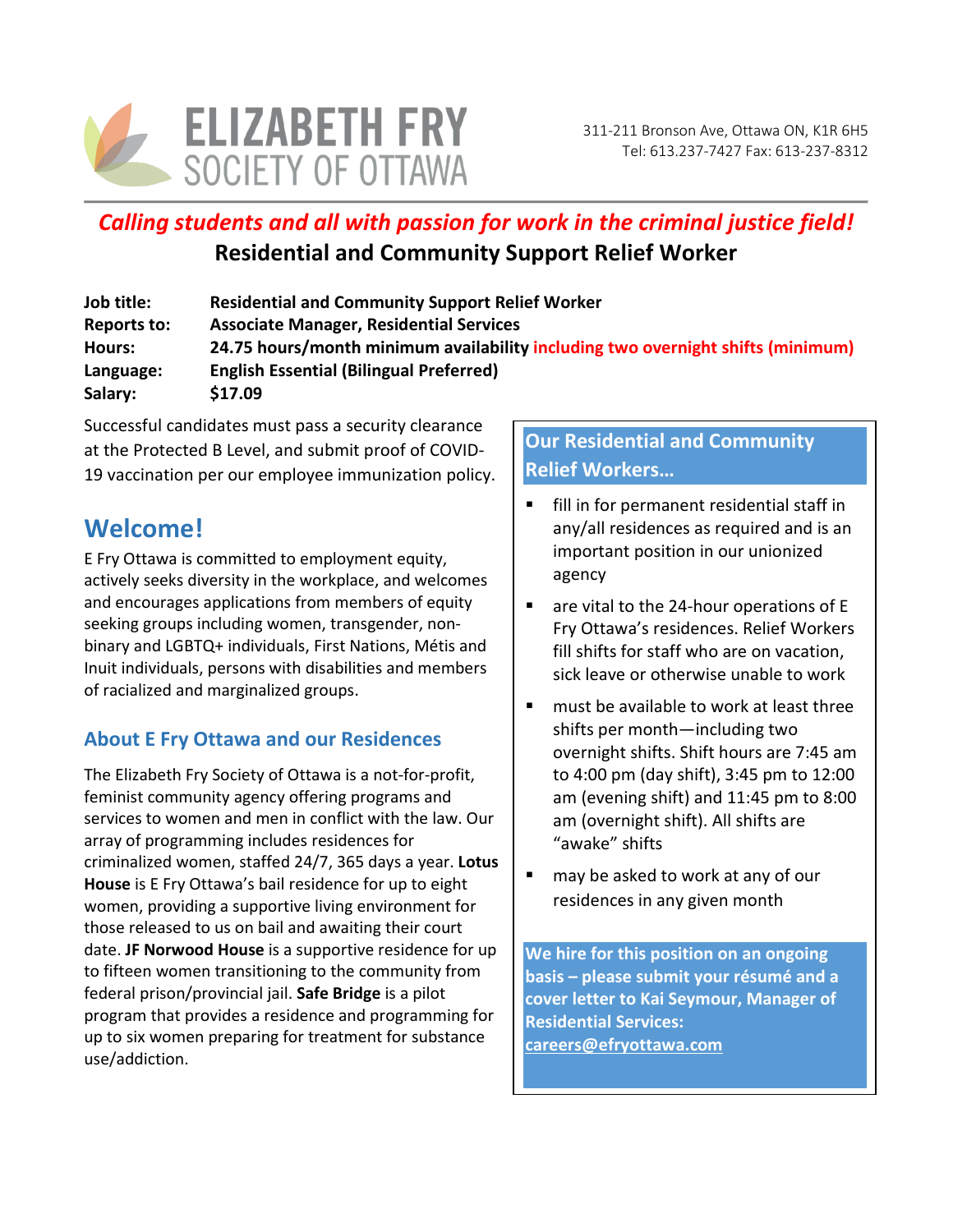

# *Calling students and all with passion for work in the criminal justice field!* **Residential and Community Support Relief Worker**

| Job title:         | <b>Residential and Community Support Relief Worker</b>                          |
|--------------------|---------------------------------------------------------------------------------|
| <b>Reports to:</b> | <b>Associate Manager, Residential Services</b>                                  |
| Hours:             | 24.75 hours/month minimum availability including two overnight shifts (minimum) |
| Language:          | <b>English Essential (Bilingual Preferred)</b>                                  |
| Salary:            | \$17.09                                                                         |

Successful candidates must pass a security clearance at the Protected B Level, and submit proof of COVID-19 vaccination per our employee immunization policy.

# **Welcome!**

E Fry Ottawa is committed to employment equity, actively seeks diversity in the workplace, and welcomes and encourages applications from members of equity seeking groups including women, transgender, nonbinary and LGBTQ+ individuals, First Nations, Métis and Inuit individuals, persons with disabilities and members of racialized and marginalized groups.

# **About E Fry Ottawa and our Residences**

The Elizabeth Fry Society of Ottawa is a not-for-profit, feminist community agency offering programs and services to women and men in conflict with the law. Our array of programming includes residences for criminalized women, staffed 24/7, 365 days a year. **Lotus House** is E Fry Ottawa's bail residence for up to eight women, providing a supportive living environment for those released to us on bail and awaiting their court date. **JF Norwood House** is a supportive residence for up to fifteen women transitioning to the community from federal prison/provincial jail. **Safe Bridge** is a pilot program that provides a residence and programming for up to six women preparing for treatment for substance use/addiction.

# **Our Residential and Community Relief Workers…**

- fill in for permanent residential staff in any/all residences as required and is an important position in our unionized agency
- are vital to the 24-hour operations of E Fry Ottawa's residences. Relief Workers fill shifts for staff who are on vacation, sick leave or otherwise unable to work
- must be available to work at least three shifts per month—including two overnight shifts. Shift hours are 7:45 am to 4:00 pm (day shift), 3:45 pm to 12:00 am (evening shift) and 11:45 pm to 8:00 am (overnight shift). All shifts are "awake" shifts
- may be asked to work at any of our residences in any given month

**We hire for this position on an ongoing basis – please submit your résumé and a cover letter to Kai Seymour, Manager of Residential Services: [careers@efryottawa.com](mailto:careers@efryottawa.com)**